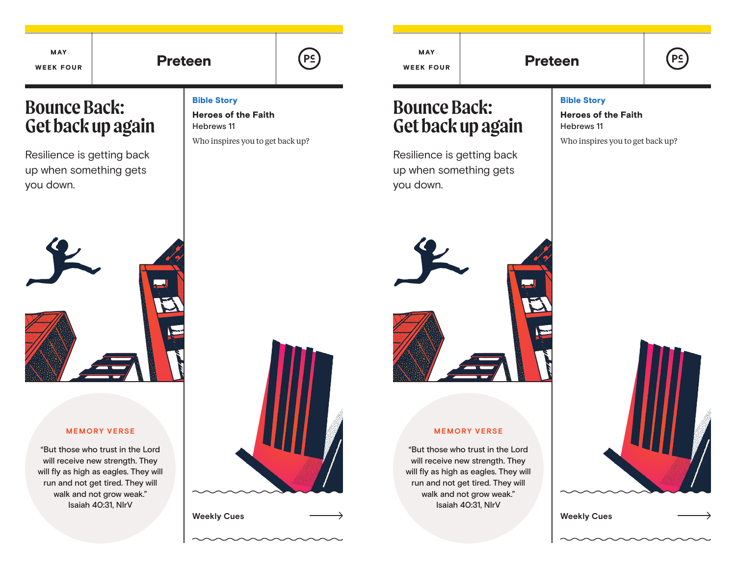MAY WEEK FOUR

# Preteen | (P<u>c</u>)

# **Bounce Back: Get back up again**

Resilience is getting back up when something gets you down.

### Bible Story

Heroes of the Faith Hebrews 11

Who inspires you to get back up?



### **MEMORY VERSE**

"But those who trust in the Lord will receive new strength. They will fly as high as eagles. They will run and not get tired. They will walk and not grow weak." Isaiah 40:31, NIrV



**Weekly Cues Weekly Cues**